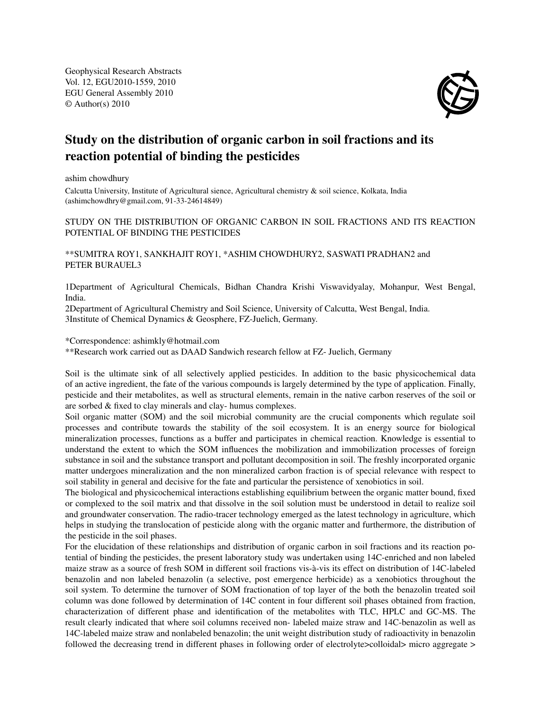Geophysical Research Abstracts Vol. 12, EGU2010-1559, 2010 EGU General Assembly 2010 © Author(s) 2010



## Study on the distribution of organic carbon in soil fractions and its reaction potential of binding the pesticides

ashim chowdhury

Calcutta University, Institute of Agricultural sience, Agricultural chemistry & soil science, Kolkata, India (ashimchowdhry@gmail.com, 91-33-24614849)

STUDY ON THE DISTRIBUTION OF ORGANIC CARBON IN SOIL FRACTIONS AND ITS REACTION POTENTIAL OF BINDING THE PESTICIDES

\*\*SUMITRA ROY1, SANKHAJIT ROY1, \*ASHIM CHOWDHURY2, SASWATI PRADHAN2 and PETER BURAUEL3

1Department of Agricultural Chemicals, Bidhan Chandra Krishi Viswavidyalay, Mohanpur, West Bengal, India.

2Department of Agricultural Chemistry and Soil Science, University of Calcutta, West Bengal, India. 3Institute of Chemical Dynamics & Geosphere, FZ-Juelich, Germany.

\*Correspondence: ashimkly@hotmail.com

\*\*Research work carried out as DAAD Sandwich research fellow at FZ- Juelich, Germany

Soil is the ultimate sink of all selectively applied pesticides. In addition to the basic physicochemical data of an active ingredient, the fate of the various compounds is largely determined by the type of application. Finally, pesticide and their metabolites, as well as structural elements, remain in the native carbon reserves of the soil or are sorbed & fixed to clay minerals and clay- humus complexes.

Soil organic matter (SOM) and the soil microbial community are the crucial components which regulate soil processes and contribute towards the stability of the soil ecosystem. It is an energy source for biological mineralization processes, functions as a buffer and participates in chemical reaction. Knowledge is essential to understand the extent to which the SOM influences the mobilization and immobilization processes of foreign substance in soil and the substance transport and pollutant decomposition in soil. The freshly incorporated organic matter undergoes mineralization and the non mineralized carbon fraction is of special relevance with respect to soil stability in general and decisive for the fate and particular the persistence of xenobiotics in soil.

The biological and physicochemical interactions establishing equilibrium between the organic matter bound, fixed or complexed to the soil matrix and that dissolve in the soil solution must be understood in detail to realize soil and groundwater conservation. The radio-tracer technology emerged as the latest technology in agriculture, which helps in studying the translocation of pesticide along with the organic matter and furthermore, the distribution of the pesticide in the soil phases.

For the elucidation of these relationships and distribution of organic carbon in soil fractions and its reaction potential of binding the pesticides, the present laboratory study was undertaken using 14C-enriched and non labeled maize straw as a source of fresh SOM in different soil fractions vis-à-vis its effect on distribution of 14C-labeled benazolin and non labeled benazolin (a selective, post emergence herbicide) as a xenobiotics throughout the soil system. To determine the turnover of SOM fractionation of top layer of the both the benazolin treated soil column was done followed by determination of 14C content in four different soil phases obtained from fraction, characterization of different phase and identification of the metabolites with TLC, HPLC and GC-MS. The result clearly indicated that where soil columns received non- labeled maize straw and 14C-benazolin as well as 14C-labeled maize straw and nonlabeled benazolin; the unit weight distribution study of radioactivity in benazolin followed the decreasing trend in different phases in following order of electrolyte>colloidal> micro aggregate >